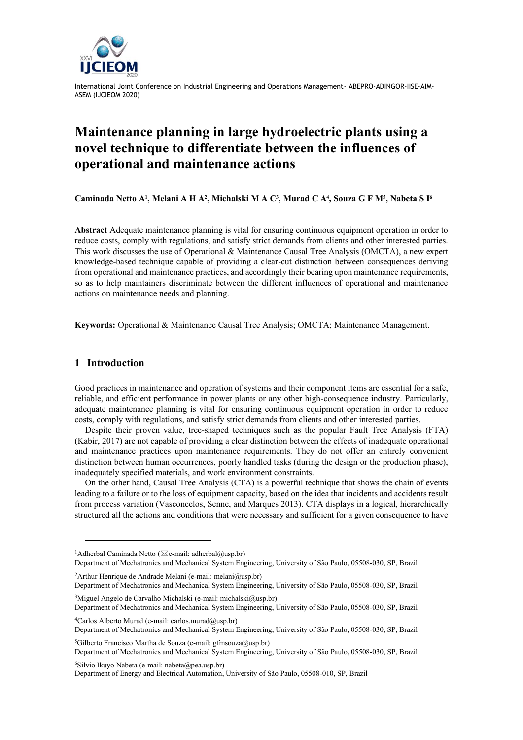

International Joint Conference on Industrial Engineering and Operations Management- ABEPRO-ADINGOR-IISE-AIM-ASEM (IJCIEOM 2020)

# **Maintenance planning in large hydroelectric plants using a novel technique to differentiate between the influences of operational and maintenance actions**

Caminada Netto A<sup>1</sup>, Melani A H A<sup>2</sup>, Michalski M A C<sup>3</sup>, Murad C A<sup>4</sup>, Souza G F M<sup>5</sup>, Nabeta S I<sup>6</sup>

**Abstract** Adequate maintenance planning is vital for ensuring continuous equipment operation in order to reduce costs, comply with regulations, and satisfy strict demands from clients and other interested parties. This work discusses the use of Operational & Maintenance Causal Tree Analysis (OMCTA), a new expert knowledge-based technique capable of providing a clear-cut distinction between consequences deriving from operational and maintenance practices, and accordingly their bearing upon maintenance requirements, so as to help maintainers discriminate between the different influences of operational and maintenance actions on maintenance needs and planning.

**Keywords:** Operational & Maintenance Causal Tree Analysis; OMCTA; Maintenance Management.

#### **1 Introduction**

Good practices in maintenance and operation of systems and their component items are essential for a safe, reliable, and efficient performance in power plants or any other high-consequence industry. Particularly, adequate maintenance planning is vital for ensuring continuous equipment operation in order to reduce costs, comply with regulations, and satisfy strict demands from clients and other interested parties.

Despite their proven value, tree-shaped techniques such as the popular Fault Tree Analysis (FTA) (Kabir, 2017) are not capable of providing a clear distinction between the effects of inadequate operational and maintenance practices upon maintenance requirements. They do not offer an entirely convenient distinction between human occurrences, poorly handled tasks (during the design or the production phase), inadequately specified materials, and work environment constraints.

On the other hand, Causal Tree Analysis (CTA) is a powerful technique that shows the chain of events leading to a failure or to the loss of equipment capacity, based on the idea that incidents and accidents result from process variation (Vasconcelos, Senne, and Marques 2013). CTA displays in a logical, hierarchically structured all the actions and conditions that were necessary and sufficient for a given consequence to have

<sup>2</sup>Arthur Henrique de Andrade Melani (e-mail: melani@usp.br)

Department of Mechatronics and Mechanical System Engineering, University of São Paulo, 05508-030, SP, Brazil <sup>5</sup>Gilberto Francisco Martha de Souza (e-mail: gfmsouza@usp.br)

Department of Mechatronics and Mechanical System Engineering, University of São Paulo, 05508-030, SP, Brazil

<sup>6</sup>Silvio Ikuyo Nabeta (e-mail: nabeta@pea.usp.br) Department of Energy and Electrical Automation, University of São Paulo, 05508-010, SP, Brazil

<sup>&</sup>lt;sup>1</sup>Adherbal Caminada Netto ( $\boxtimes$ e-mail: adherbal@usp.br)

Department of Mechatronics and Mechanical System Engineering, University of São Paulo, 05508-030, SP, Brazil

Department of Mechatronics and Mechanical System Engineering, University of São Paulo, 05508-030, SP, Brazil <sup>3</sup>Miguel Angelo de Carvalho Michalski (e-mail: michalski@usp.br)

Department of Mechatronics and Mechanical System Engineering, University of São Paulo, 05508-030, SP, Brazil <sup>4</sup>Carlos Alberto Murad (e-mail: carlos.murad@usp.br)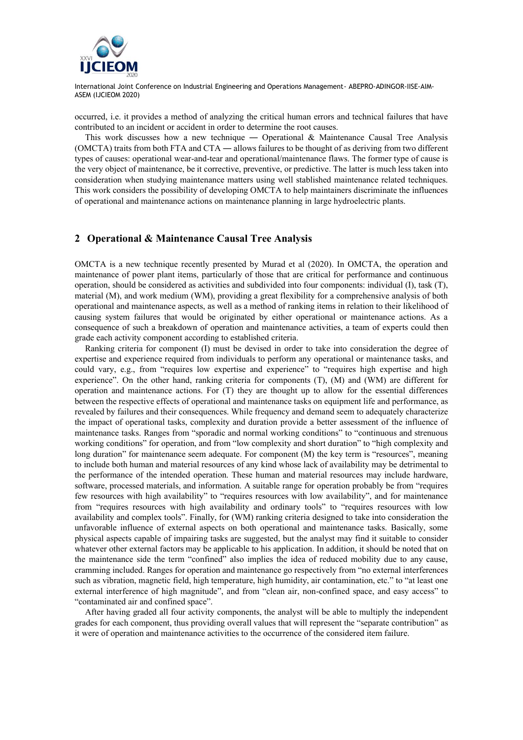

International Joint Conference on Industrial Engineering and Operations Management- ABEPRO-ADINGOR-IISE-AIM-ASEM (IJCIEOM 2020)

occurred, i.e. it provides a method of analyzing the critical human errors and technical failures that have contributed to an incident or accident in order to determine the root causes.

This work discusses how a new technique — Operational & Maintenance Causal Tree Analysis (OMCTA) traits from both FTA and CTA ― allows failures to be thought of as deriving from two different types of causes: operational wear-and-tear and operational/maintenance flaws. The former type of cause is the very object of maintenance, be it corrective, preventive, or predictive. The latter is much less taken into consideration when studying maintenance matters using well stablished maintenance related techniques. This work considers the possibility of developing OMCTA to help maintainers discriminate the influences of operational and maintenance actions on maintenance planning in large hydroelectric plants.

## **2 Operational & Maintenance Causal Tree Analysis**

OMCTA is a new technique recently presented by Murad et al (2020). In OMCTA, the operation and maintenance of power plant items, particularly of those that are critical for performance and continuous operation, should be considered as activities and subdivided into four components: individual (I), task (T), material (M), and work medium (WM), providing a great flexibility for a comprehensive analysis of both operational and maintenance aspects, as well as a method of ranking items in relation to their likelihood of causing system failures that would be originated by either operational or maintenance actions. As a consequence of such a breakdown of operation and maintenance activities, a team of experts could then grade each activity component according to established criteria.

Ranking criteria for component (I) must be devised in order to take into consideration the degree of expertise and experience required from individuals to perform any operational or maintenance tasks, and could vary, e.g., from "requires low expertise and experience" to "requires high expertise and high experience". On the other hand, ranking criteria for components (T), (M) and (WM) are different for operation and maintenance actions. For (T) they are thought up to allow for the essential differences between the respective effects of operational and maintenance tasks on equipment life and performance, as revealed by failures and their consequences. While frequency and demand seem to adequately characterize the impact of operational tasks, complexity and duration provide a better assessment of the influence of maintenance tasks. Ranges from "sporadic and normal working conditions" to "continuous and strenuous working conditions" for operation, and from "low complexity and short duration" to "high complexity and long duration" for maintenance seem adequate. For component (M) the key term is "resources", meaning to include both human and material resources of any kind whose lack of availability may be detrimental to the performance of the intended operation. These human and material resources may include hardware, software, processed materials, and information. A suitable range for operation probably be from "requires few resources with high availability" to "requires resources with low availability", and for maintenance from "requires resources with high availability and ordinary tools" to "requires resources with low availability and complex tools". Finally, for (WM) ranking criteria designed to take into consideration the unfavorable influence of external aspects on both operational and maintenance tasks. Basically, some physical aspects capable of impairing tasks are suggested, but the analyst may find it suitable to consider whatever other external factors may be applicable to his application. In addition, it should be noted that on the maintenance side the term "confined" also implies the idea of reduced mobility due to any cause, cramming included. Ranges for operation and maintenance go respectively from "no external interferences such as vibration, magnetic field, high temperature, high humidity, air contamination, etc." to "at least one external interference of high magnitude", and from "clean air, non-confined space, and easy access" to "contaminated air and confined space".

After having graded all four activity components, the analyst will be able to multiply the independent grades for each component, thus providing overall values that will represent the "separate contribution" as it were of operation and maintenance activities to the occurrence of the considered item failure.